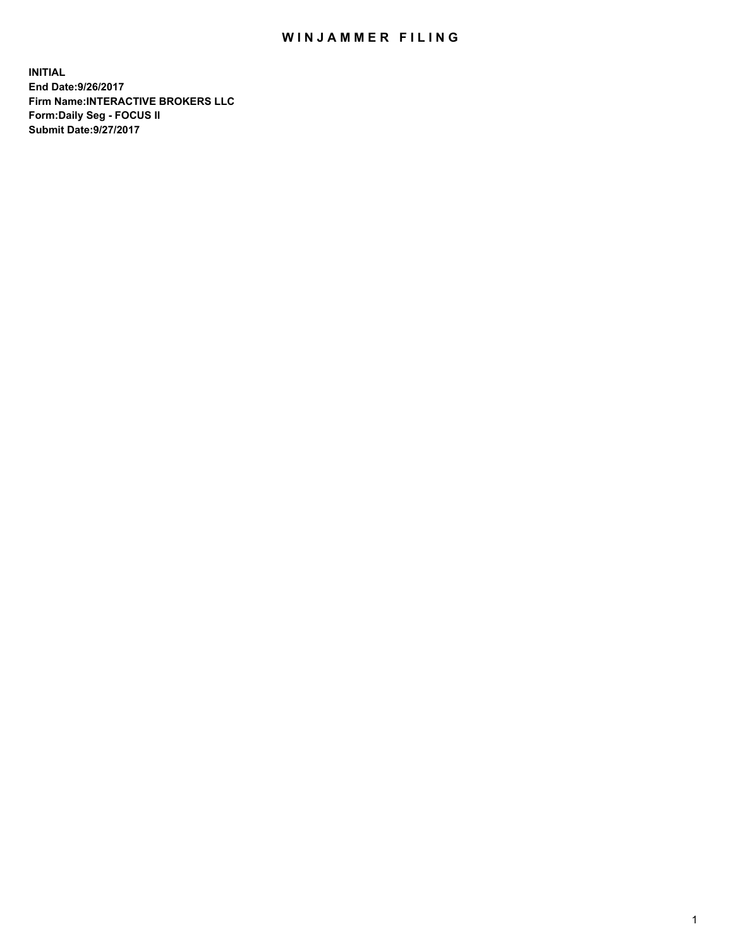## WIN JAMMER FILING

**INITIAL End Date:9/26/2017 Firm Name:INTERACTIVE BROKERS LLC Form:Daily Seg - FOCUS II Submit Date:9/27/2017**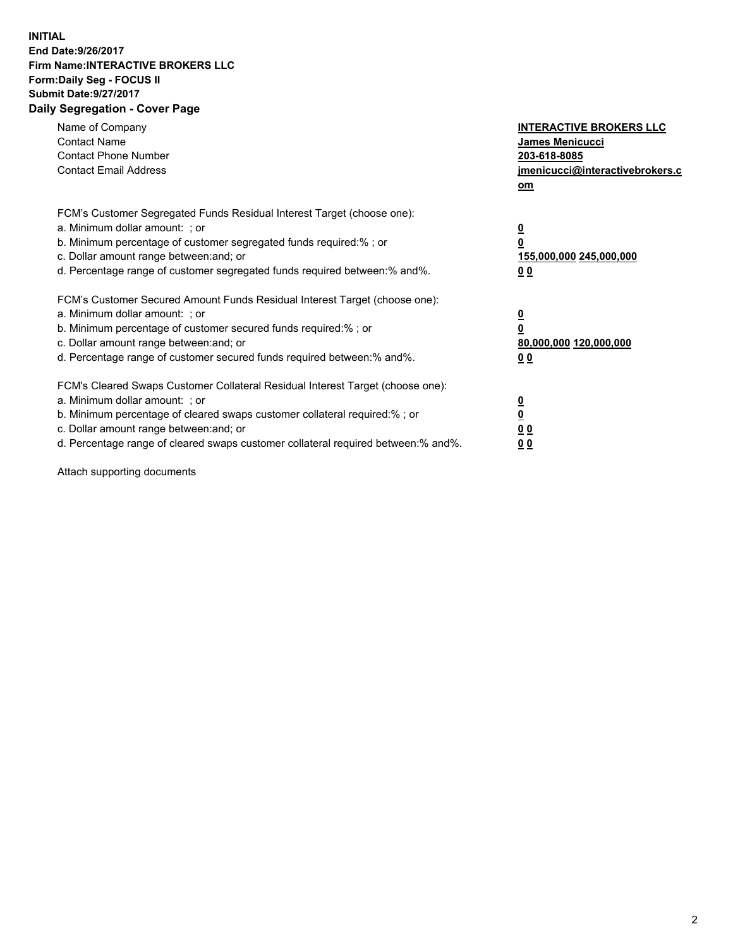## **INITIAL End Date:9/26/2017 Firm Name:INTERACTIVE BROKERS LLC Form:Daily Seg - FOCUS II Submit Date:9/27/2017 Daily Segregation - Cover Page**

| Name of Company<br><b>Contact Name</b><br><b>Contact Phone Number</b><br><b>Contact Email Address</b>                                                                                                                                                                                                                          | <b>INTERACTIVE BROKERS LLC</b><br>James Menicucci<br>203-618-8085<br>jmenicucci@interactivebrokers.c<br>om |
|--------------------------------------------------------------------------------------------------------------------------------------------------------------------------------------------------------------------------------------------------------------------------------------------------------------------------------|------------------------------------------------------------------------------------------------------------|
| FCM's Customer Segregated Funds Residual Interest Target (choose one):<br>a. Minimum dollar amount: ; or<br>b. Minimum percentage of customer segregated funds required:%; or<br>c. Dollar amount range between: and; or<br>d. Percentage range of customer segregated funds required between:% and%.                          | $\overline{\mathbf{0}}$<br>0<br>155,000,000 245,000,000<br>0 <sub>0</sub>                                  |
| FCM's Customer Secured Amount Funds Residual Interest Target (choose one):<br>a. Minimum dollar amount: ; or<br>b. Minimum percentage of customer secured funds required:%; or<br>c. Dollar amount range between: and; or<br>d. Percentage range of customer secured funds required between:% and%.                            | $\overline{\mathbf{0}}$<br>$\overline{\mathbf{0}}$<br>80,000,000 120,000,000<br>00                         |
| FCM's Cleared Swaps Customer Collateral Residual Interest Target (choose one):<br>a. Minimum dollar amount: ; or<br>b. Minimum percentage of cleared swaps customer collateral required:% ; or<br>c. Dollar amount range between: and; or<br>d. Percentage range of cleared swaps customer collateral required between:% and%. | $\overline{\mathbf{0}}$<br>$\overline{\mathbf{0}}$<br>0 <sub>0</sub><br><u>00</u>                          |

Attach supporting documents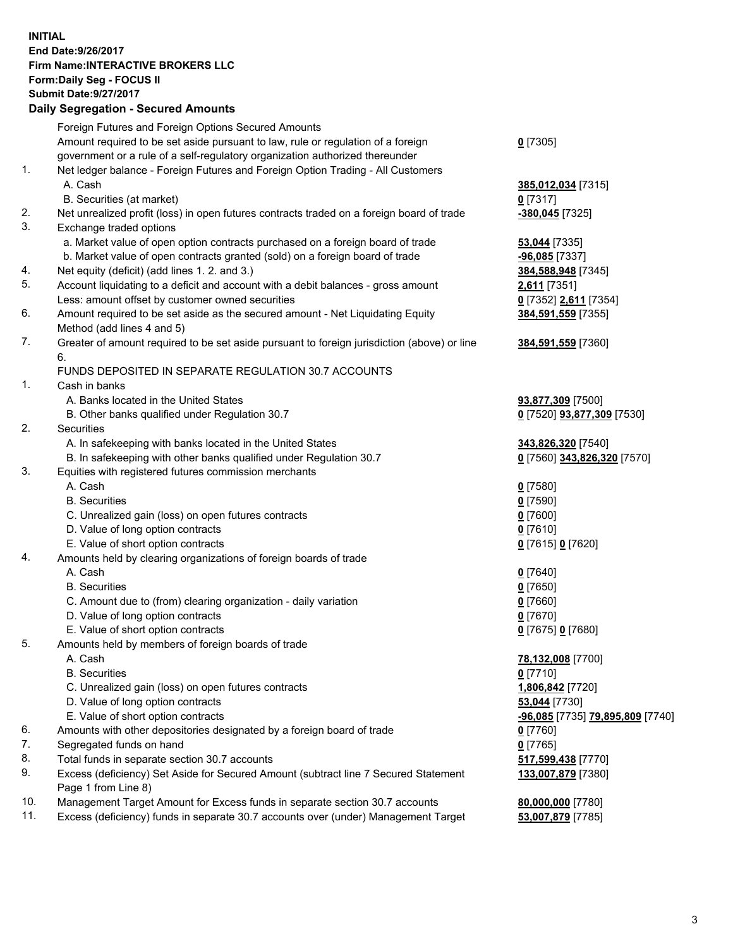## **INITIAL End Date:9/26/2017 Firm Name:INTERACTIVE BROKERS LLC Form:Daily Seg - FOCUS II Submit Date:9/27/2017 Daily Segregation - Secured Amounts**

|     | <b>Pany Ovgrogation Coodrog</b> / 11110ania                                                 |                                  |
|-----|---------------------------------------------------------------------------------------------|----------------------------------|
|     | Foreign Futures and Foreign Options Secured Amounts                                         |                                  |
|     | Amount required to be set aside pursuant to law, rule or regulation of a foreign            | $0$ [7305]                       |
|     | government or a rule of a self-regulatory organization authorized thereunder                |                                  |
| 1.  | Net ledger balance - Foreign Futures and Foreign Option Trading - All Customers             |                                  |
|     | A. Cash                                                                                     | 385,012,034 [7315]               |
|     | B. Securities (at market)                                                                   | $0$ [7317]                       |
| 2.  | Net unrealized profit (loss) in open futures contracts traded on a foreign board of trade   | -380,045 [7325]                  |
| 3.  | Exchange traded options                                                                     |                                  |
|     | a. Market value of open option contracts purchased on a foreign board of trade              | 53,044 [7335]                    |
|     | b. Market value of open contracts granted (sold) on a foreign board of trade                | -96,085 [7337]                   |
| 4.  | Net equity (deficit) (add lines 1.2. and 3.)                                                | 384,588,948 [7345]               |
| 5.  | Account liquidating to a deficit and account with a debit balances - gross amount           | 2,611 [7351]                     |
|     | Less: amount offset by customer owned securities                                            |                                  |
| 6.  |                                                                                             | 0 [7352] 2,611 [7354]            |
|     | Amount required to be set aside as the secured amount - Net Liquidating Equity              | 384,591,559 [7355]               |
|     | Method (add lines 4 and 5)                                                                  |                                  |
| 7.  | Greater of amount required to be set aside pursuant to foreign jurisdiction (above) or line | 384,591,559 [7360]               |
|     | 6.                                                                                          |                                  |
|     | FUNDS DEPOSITED IN SEPARATE REGULATION 30.7 ACCOUNTS                                        |                                  |
| 1.  | Cash in banks                                                                               |                                  |
|     | A. Banks located in the United States                                                       | 93,877,309 [7500]                |
|     | B. Other banks qualified under Regulation 30.7                                              | 0 [7520] 93,877,309 [7530]       |
| 2.  | Securities                                                                                  |                                  |
|     | A. In safekeeping with banks located in the United States                                   | 343,826,320 [7540]               |
|     | B. In safekeeping with other banks qualified under Regulation 30.7                          | 0 [7560] 343,826,320 [7570]      |
| 3.  | Equities with registered futures commission merchants                                       |                                  |
|     | A. Cash                                                                                     | $0$ [7580]                       |
|     | <b>B.</b> Securities                                                                        | $0$ [7590]                       |
|     | C. Unrealized gain (loss) on open futures contracts                                         | $0$ [7600]                       |
|     | D. Value of long option contracts                                                           | $0$ [7610]                       |
|     | E. Value of short option contracts                                                          | 0 [7615] 0 [7620]                |
| 4.  | Amounts held by clearing organizations of foreign boards of trade                           |                                  |
|     | A. Cash                                                                                     | $0$ [7640]                       |
|     | <b>B.</b> Securities                                                                        | $0$ [7650]                       |
|     | C. Amount due to (from) clearing organization - daily variation                             | $0$ [7660]                       |
|     | D. Value of long option contracts                                                           | $0$ [7670]                       |
|     | E. Value of short option contracts                                                          | 0 [7675] 0 [7680]                |
| 5.  | Amounts held by members of foreign boards of trade                                          |                                  |
|     | A. Cash                                                                                     | 78,132,008 [7700]                |
|     | <b>B.</b> Securities                                                                        | $0$ [7710]                       |
|     | C. Unrealized gain (loss) on open futures contracts                                         | 1,806,842 [7720]                 |
|     | D. Value of long option contracts                                                           | 53,044 [7730]                    |
|     | E. Value of short option contracts                                                          | -96,085 [7735] 79,895,809 [7740] |
| 6.  | Amounts with other depositories designated by a foreign board of trade                      | $0$ [7760]                       |
| 7.  | Segregated funds on hand                                                                    | $0$ [7765]                       |
| 8.  | Total funds in separate section 30.7 accounts                                               | 517,599,438 [7770]               |
| 9.  | Excess (deficiency) Set Aside for Secured Amount (subtract line 7 Secured Statement         | 133,007,879 [7380]               |
|     | Page 1 from Line 8)                                                                         |                                  |
| 10. | Management Target Amount for Excess funds in separate section 30.7 accounts                 | 80,000,000 [7780]                |
| 11. | Excess (deficiency) funds in separate 30.7 accounts over (under) Management Target          | 53,007,879 [7785]                |
|     |                                                                                             |                                  |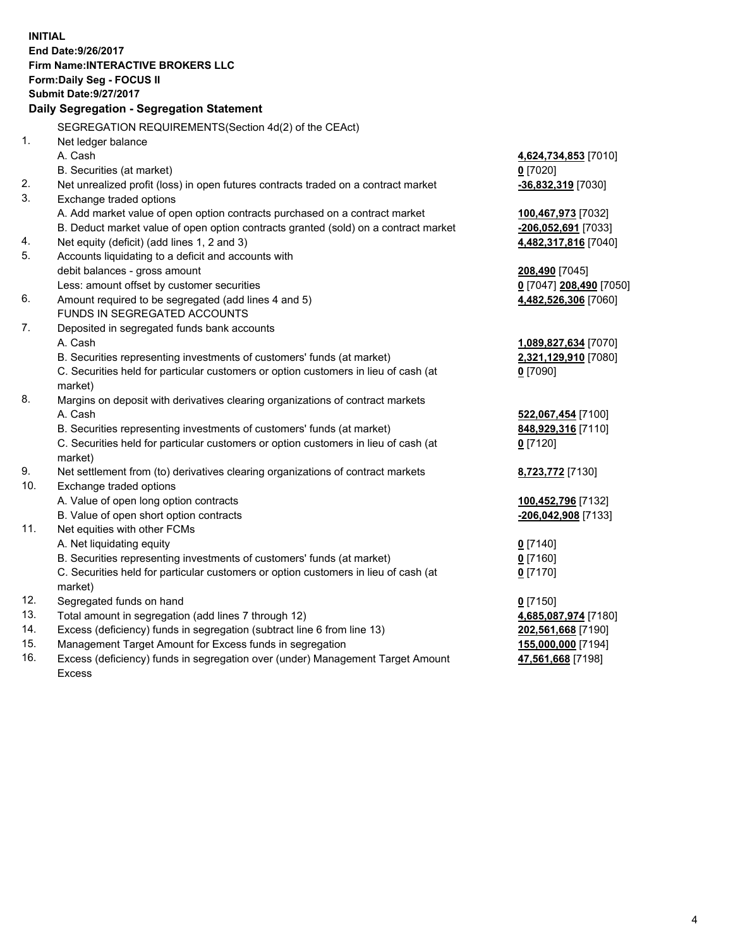**INITIAL End Date:9/26/2017 Firm Name:INTERACTIVE BROKERS LLC Form:Daily Seg - FOCUS II Submit Date:9/27/2017 Daily Segregation - Segregation Statement** SEGREGATION REQUIREMENTS(Section 4d(2) of the CEAct) 1. Net ledger balance A. Cash **4,624,734,853** [7010] B. Securities (at market) **0** [7020] 2. Net unrealized profit (loss) in open futures contracts traded on a contract market **-36,832,319** [7030] 3. Exchange traded options A. Add market value of open option contracts purchased on a contract market **100,467,973** [7032] B. Deduct market value of open option contracts granted (sold) on a contract market **-206,052,691** [7033] 4. Net equity (deficit) (add lines 1, 2 and 3) **4,482,317,816** [7040] 5. Accounts liquidating to a deficit and accounts with debit balances - gross amount **208,490** [7045] Less: amount offset by customer securities **0** [7047] **208,490** [7050] 6. Amount required to be segregated (add lines 4 and 5) **4,482,526,306** [7060] FUNDS IN SEGREGATED ACCOUNTS 7. Deposited in segregated funds bank accounts A. Cash **1,089,827,634** [7070] B. Securities representing investments of customers' funds (at market) **2,321,129,910** [7080] C. Securities held for particular customers or option customers in lieu of cash (at market) **0** [7090] 8. Margins on deposit with derivatives clearing organizations of contract markets A. Cash **522,067,454** [7100] B. Securities representing investments of customers' funds (at market) **848,929,316** [7110] C. Securities held for particular customers or option customers in lieu of cash (at market) **0** [7120] 9. Net settlement from (to) derivatives clearing organizations of contract markets **8,723,772** [7130] 10. Exchange traded options A. Value of open long option contracts **100,452,796** [7132] B. Value of open short option contracts **-206,042,908** [7133] 11. Net equities with other FCMs A. Net liquidating equity **0** [7140] B. Securities representing investments of customers' funds (at market) **0** [7160] C. Securities held for particular customers or option customers in lieu of cash (at market) **0** [7170] 12. Segregated funds on hand **0** [7150] 13. Total amount in segregation (add lines 7 through 12) **4,685,087,974** [7180] 14. Excess (deficiency) funds in segregation (subtract line 6 from line 13) **202,561,668** [7190] 15. Management Target Amount for Excess funds in segregation **155,000,000** [7194]

16. Excess (deficiency) funds in segregation over (under) Management Target Amount Excess

**47,561,668** [7198]